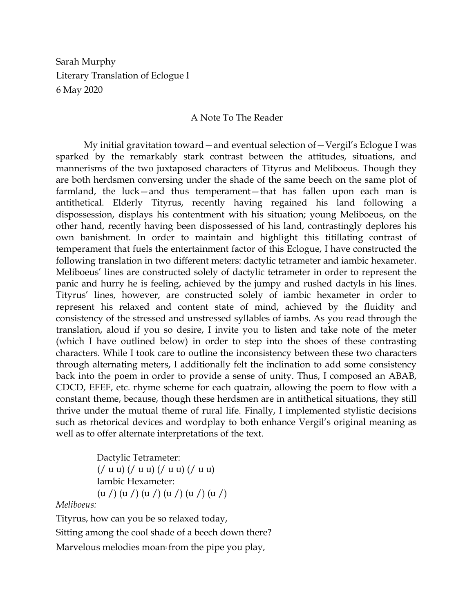Sarah Murphy Literary Translation of Eclogue I 6 May 2020

#### A Note To The Reader

My initial gravitation toward—and eventual selection of—Vergil's Eclogue I was sparked by the remarkably stark contrast between the attitudes, situations, and mannerisms of the two juxtaposed characters of Tityrus and Meliboeus. Though they are both herdsmen conversing under the shade of the same beech on the same plot of farmland, the luck—and thus temperament—that has fallen upon each man is antithetical. Elderly Tityrus, recently having regained his land following a dispossession, displays his contentment with his situation; young Meliboeus, on the other hand, recently having been dispossessed of his land, contrastingly deplores his own banishment. In order to maintain and highlight this titillating contrast of temperament that fuels the entertainment factor of this Eclogue, I have constructed the following translation in two different meters: dactylic tetrameter and iambic hexameter. Meliboeus' lines are constructed solely of dactylic tetrameter in order to represent the panic and hurry he is feeling, achieved by the jumpy and rushed dactyls in his lines. Tityrus' lines, however, are constructed solely of iambic hexameter in order to represent his relaxed and content state of mind, achieved by the fluidity and consistency of the stressed and unstressed syllables of iambs. As you read through the translation, aloud if you so desire, I invite you to listen and take note of the meter (which I have outlined below) in order to step into the shoes of these contrasting characters. While I took care to outline the inconsistency between these two characters through alternating meters, I additionally felt the inclination to add some consistency back into the poem in order to provide a sense of unity. Thus, I composed an ABAB, CDCD, EFEF, etc. rhyme scheme for each quatrain, allowing the poem to flow with a constant theme, because, though these herdsmen are in antithetical situations, they still thrive under the mutual theme of rural life. Finally, I implemented stylistic decisions such as rhetorical devices and wordplay to both enhance Vergil's original meaning as well as to offer alternate interpretations of the text.

> Dactylic Tetrameter:  $\frac{1}{2}$  (/ u u) (/ u u) (/ u u) Iambic Hexameter:  $(u / (u / (u / (u / (u / (u / (u / (u *1*)))$

*Meliboeus:*

Tityrus, how can you be so relaxed today, Sitting among the cool shade of a beech down there? Marvelous melodies moan from the pipe you play,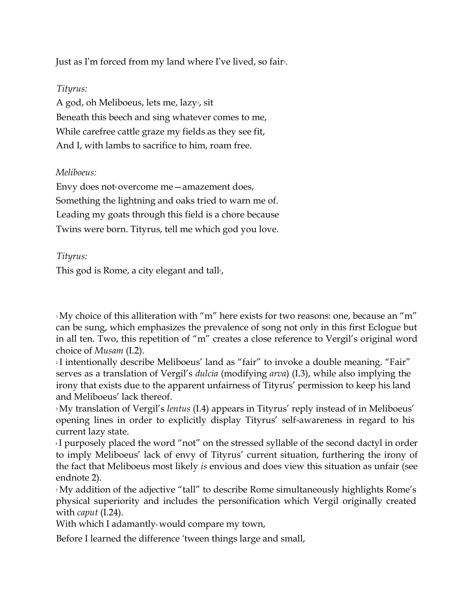Just as I'm forced from my land where I've lived, so fair<sup>2</sup>.

## *Tityrus:*

A god, oh Meliboeus, lets me, lazy<sup>3</sup>, sit Beneath this beech and sing whatever comes to me, While carefree cattle graze my fields as they see fit, And I, with lambs to sacrifice to him, roam free.

## *Meliboeus:*

Envy does not overcome me - amazement does, Something the lightning and oaks tried to warn me of. Leading my goats through this field is a chore because Twins were born. Tityrus, tell me which god you love.

## *Tityrus:*

This god is Rome, a city elegant and tall<sup>5</sup>,

 $1$ My choice of this alliteration with "m" here exists for two reasons: one, because an "m" can be sung, which emphasizes the prevalence of song not only in this first Eclogue but in all ten. Two, this repetition of "m" creates a close reference to Vergil's original word choice of *Musam* (I.2).

<sup>2</sup> I intentionally describe Meliboeus' land as "fair" to invoke a double meaning. "Fair" serves as a translation of Vergil's *dulcia* (modifying *arva*) (I.3), while also implying the irony that exists due to the apparent unfairness of Tityrus' permission to keep his land and Meliboeus' lack thereof.

<sup>3</sup> My translation of Vergil's *lentus* (I.4) appears in Tityrus' reply instead of in Meliboeus' opening lines in order to explicitly display Tityrus' self-awareness in regard to his current lazy state.

<sup>4</sup> I purposely placed the word "not" on the stressed syllable of the second dactyl in order to imply Meliboeus' lack of envy of Tityrus' current situation, furthering the irony of the fact that Meliboeus most likely *is* envious and does view this situation as unfair (see endnote 2).

<sup>5</sup> My addition of the adjective "tall" to describe Rome simultaneously highlights Rome's physical superiority and includes the personification which Vergil originally created with *caput* (I.24).

With which I adamantly would compare my town,

Before I learned the difference 'tween things large and small,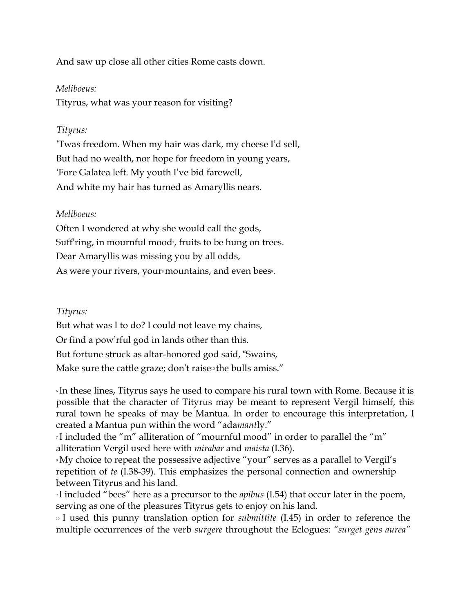And saw up close all other cities Rome casts down.

#### *Meliboeus:*

Tityrus, what was your reason for visiting?

#### *Tityrus:*

'Twas freedom. When my hair was dark, my cheese I'd sell, But had no wealth, nor hope for freedom in young years, 'Fore Galatea left. My youth I've bid farewell, And white my hair has turned as Amaryllis nears.

### *Meliboeus:*

Often I wondered at why she would call the gods, Suff'ring, in mournful mood<sub>7</sub>, fruits to be hung on trees. Dear Amaryllis was missing you by all odds, As were your rivers, your mountains, and even bees.

#### *Tityrus:*

But what was I to do? I could not leave my chains, Or find a pow'rful god in lands other than this. But fortune struck as altar-honored god said, "Swains, Make sure the cattle graze; don't raise<sup>10</sup> the bulls amiss."

<sup>6</sup> In these lines, Tityrus says he used to compare his rural town with Rome. Because it is possible that the character of Tityrus may be meant to represent Vergil himself, this rural town he speaks of may be Mantua. In order to encourage this interpretation, I created a Mantua pun within the word "ada*mant*ly."

<sup>7</sup> I included the "m" alliteration of "mournful mood" in order to parallel the "m" alliteration Vergil used here with *mirabar* and *maista* (I.36).

<sup>8</sup> My choice to repeat the possessive adjective "your" serves as a parallel to Vergil's repetition of *te* (I.38-39). This emphasizes the personal connection and ownership between Tityrus and his land.

<sup>9</sup> I included "bees" here as a precursor to the *apibus* (I.54) that occur later in the poem, serving as one of the pleasures Tityrus gets to enjoy on his land.

<sup>10</sup> I used this punny translation option for *submittite* (I.45) in order to reference the multiple occurrences of the verb *surgere* throughout the Eclogues: *"surget gens aurea"*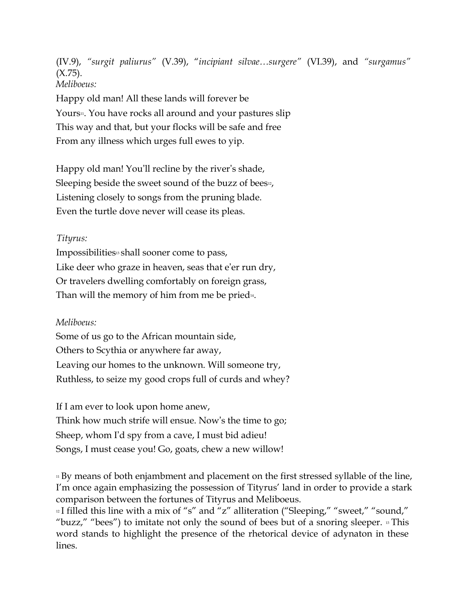(IV.9), *"surgit paliurus"* (V.39), "*incipiant silvae…surgere"* (VI.39), and *"surgamus"*   $(X.75)$ . *Meliboeus:*

Happy old man! All these lands will forever be Yours<sup>11</sup>. You have rocks all around and your pastures slip This way and that, but your flocks will be safe and free From any illness which urges full ewes to yip.

Happy old man! You'll recline by the river's shade, Sleeping beside the sweet sound of the buzz of bees $\nu$ , Listening closely to songs from the pruning blade. Even the turtle dove never will cease its pleas.

## *Tityrus:*

Impossibilities<sup>13</sup> shall sooner come to pass, Like deer who graze in heaven, seas that e'er run dry, Or travelers dwelling comfortably on foreign grass, Than will the memory of him from me be pried<sup>14</sup>.

# *Meliboeus:*

Some of us go to the African mountain side, Others to Scythia or anywhere far away, Leaving our homes to the unknown. Will someone try, Ruthless, to seize my good crops full of curds and whey?

If I am ever to look upon home anew, Think how much strife will ensue. Now's the time to go; Sheep, whom I'd spy from a cave, I must bid adieu! Songs, I must cease you! Go, goats, chew a new willow!

<sup>11</sup> By means of both enjambment and placement on the first stressed syllable of the line, I'm once again emphasizing the possession of Tityrus' land in order to provide a stark comparison between the fortunes of Tityrus and Meliboeus.

 $12$  I filled this line with a mix of "s" and "z" alliteration ("Sleeping," "sweet," "sound," "buzz," "bees") to imitate not only the sound of bees but of a snoring sleeper.  $\frac{1}{3}$  This word stands to highlight the presence of the rhetorical device of adynaton in these lines.